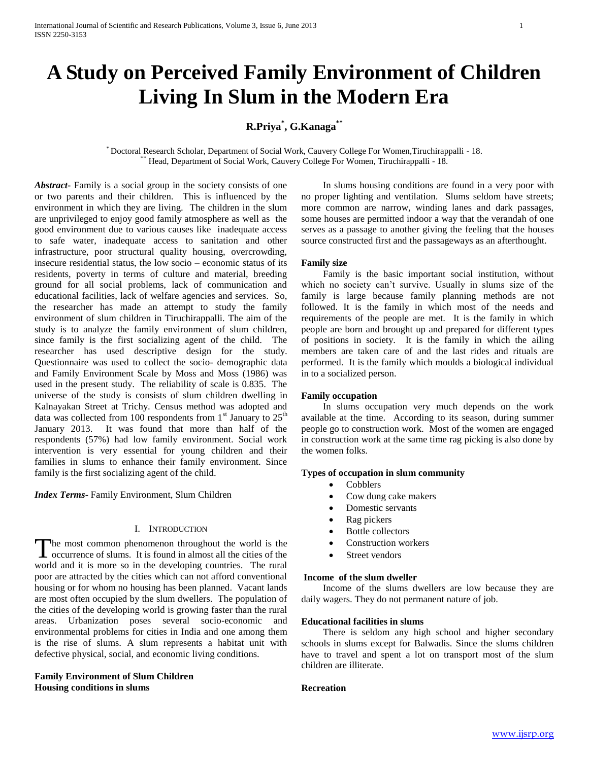# **A Study on Perceived Family Environment of Children Living In Slum in the Modern Era**

# **R.Priya\* , G.Kanaga\*\***

\* Doctoral Research Scholar, Department of Social Work, Cauvery College For Women,Tiruchirappalli - 18. \*\* Head, Department of Social Work, Cauvery College For Women, Tiruchirappalli - 18.

*Abstract***-** Family is a social group in the society consists of one or two parents and their children. This is influenced by the environment in which they are living. The children in the slum are unprivileged to enjoy good family atmosphere as well as the good environment due to various causes like inadequate access to safe water, inadequate access to sanitation and other infrastructure, poor structural quality housing, overcrowding, insecure residential status, the low socio – economic status of its residents, poverty in terms of culture and material, breeding ground for all social problems, lack of communication and educational facilities, lack of welfare agencies and services. So, the researcher has made an attempt to study the family environment of slum children in Tiruchirappalli. The aim of the study is to analyze the family environment of slum children, since family is the first socializing agent of the child. The researcher has used descriptive design for the study. Questionnaire was used to collect the socio- demographic data and Family Environment Scale by Moss and Moss (1986) was used in the present study. The reliability of scale is 0.835. The universe of the study is consists of slum children dwelling in Kalnayakan Street at Trichy. Census method was adopted and data was collected from 100 respondents from  $1<sup>st</sup>$  January to  $25<sup>th</sup>$ January 2013. It was found that more than half of the respondents (57%) had low family environment. Social work intervention is very essential for young children and their families in slums to enhance their family environment. Since family is the first socializing agent of the child.

*Index Terms*- Family Environment, Slum Children

#### I. INTRODUCTION

The most common phenomenon throughout the world is the The most common phenomenon throughout the world is the occurrence of slums. It is found in almost all the cities of the world and it is more so in the developing countries. The rural poor are attracted by the cities which can not afford conventional housing or for whom no housing has been planned. Vacant lands are most often occupied by the slum dwellers. The population of the cities of the developing world is growing faster than the rural areas. Urbanization poses several socio-economic and environmental problems for cities in India and one among them is the rise of slums. A slum represents a habitat unit with defective physical, social, and economic living conditions.

# **Family Environment of Slum Children Housing conditions in slums**

 In slums housing conditions are found in a very poor with no proper lighting and ventilation. Slums seldom have streets; more common are narrow, winding lanes and dark passages, some houses are permitted indoor a way that the verandah of one serves as a passage to another giving the feeling that the houses source constructed first and the passageways as an afterthought.

#### **Family size**

 Family is the basic important social institution, without which no society can't survive. Usually in slums size of the family is large because family planning methods are not followed. It is the family in which most of the needs and requirements of the people are met. It is the family in which people are born and brought up and prepared for different types of positions in society. It is the family in which the ailing members are taken care of and the last rides and rituals are performed. It is the family which moulds a biological individual in to a socialized person.

### **Family occupation**

 In slums occupation very much depends on the work available at the time. According to its season, during summer people go to construction work. Most of the women are engaged in construction work at the same time rag picking is also done by the women folks.

#### **Types of occupation in slum community**

- Cobblers
- Cow dung cake makers
- Domestic servants
- Rag pickers
- Bottle collectors
- Construction workers
- Street vendors

## **Income of the slum dweller**

 Income of the slums dwellers are low because they are daily wagers. They do not permanent nature of job.

#### **Educational facilities in slums**

 There is seldom any high school and higher secondary schools in slums except for Balwadis. Since the slums children have to travel and spent a lot on transport most of the slum children are illiterate.

## **Recreation**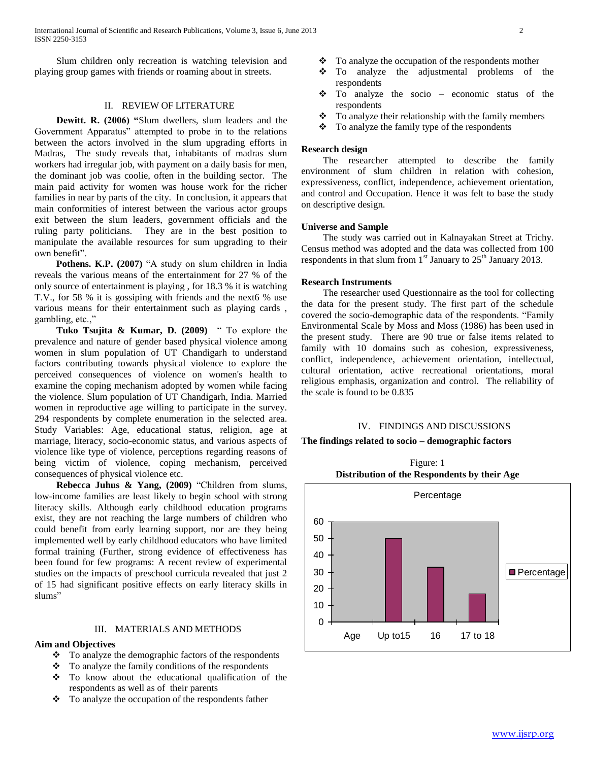Slum children only recreation is watching television and playing group games with friends or roaming about in streets.

# II. REVIEW OF LITERATURE

 **Dewitt. R. (2006) "**Slum dwellers, slum leaders and the Government Apparatus" attempted to probe in to the relations between the actors involved in the slum upgrading efforts in Madras, The study reveals that, inhabitants of madras slum workers had irregular job, with payment on a daily basis for men, the dominant job was coolie, often in the building sector. The main paid activity for women was house work for the richer families in near by parts of the city. In conclusion, it appears that main conformities of interest between the various actor groups exit between the slum leaders, government officials and the ruling party politicians. They are in the best position to manipulate the available resources for sum upgrading to their own benefit".

 **Pothens. K.P. (2007)** "A study on slum children in India reveals the various means of the entertainment for 27 % of the only source of entertainment is playing , for 18.3 % it is watching T.V., for 58 % it is gossiping with friends and the next6 % use various means for their entertainment such as playing cards , gambling, etc.,"

 **Tuko Tsujita & Kumar, D. (2009)** " To explore the prevalence and nature of gender based physical violence among women in slum population of UT Chandigarh to understand factors contributing towards physical violence to explore the perceived consequences of violence on women's health to examine the coping mechanism adopted by women while facing the violence. Slum population of UT Chandigarh, India. Married women in reproductive age willing to participate in the survey. 294 respondents by complete enumeration in the selected area. Study Variables: Age, educational status, religion, age at marriage, literacy, socio-economic status, and various aspects of violence like type of violence, perceptions regarding reasons of being victim of violence, coping mechanism, perceived consequences of physical violence etc.

 **Rebecca Juhus & Yang, (2009)** "Children from slums, low-income families are least likely to begin school with strong literacy skills. Although early childhood education programs exist, they are not reaching the large numbers of children who could benefit from early learning support, nor are they being implemented well by early childhood educators who have limited formal training (Further, strong evidence of effectiveness has been found for few programs: A recent review of experimental studies on the impacts of preschool curricula revealed that just 2 of 15 had significant positive effects on early literacy skills in slums"

## III. MATERIALS AND METHODS

# **Aim and Objectives**

- To analyze the demographic factors of the respondents
- $\div$  To analyze the family conditions of the respondents
- $\div$  To know about the educational qualification of the respondents as well as of their parents
- $\bullet$  To analyze the occupation of the respondents father
- $\div$  To analyze the occupation of the respondents mother
- To analyze the adjustmental problems of the respondents
- To analyze the socio economic status of the respondents
- $\bullet$  To analyze their relationship with the family members
- $\triangle$  To analyze the family type of the respondents

#### **Research design**

 The researcher attempted to describe the family environment of slum children in relation with cohesion, expressiveness, conflict, independence, achievement orientation, and control and Occupation. Hence it was felt to base the study on descriptive design.

#### **Universe and Sample**

 The study was carried out in Kalnayakan Street at Trichy. Census method was adopted and the data was collected from 100 respondents in that slum from  $1<sup>st</sup>$  January to  $25<sup>th</sup>$  January 2013.

#### **Research Instruments**

 The researcher used Questionnaire as the tool for collecting the data for the present study. The first part of the schedule covered the socio-demographic data of the respondents. "Family Environmental Scale by Moss and Moss (1986) has been used in the present study. There are 90 true or false items related to family with 10 domains such as cohesion, expressiveness, conflict, independence, achievement orientation, intellectual, cultural orientation, active recreational orientations, moral religious emphasis, organization and control. The reliability of the scale is found to be 0.835

#### IV. FINDINGS AND DISCUSSIONS

# **The findings related to socio – demographic factors**



Figure: 1 **Distribution of the Respondents by their Age**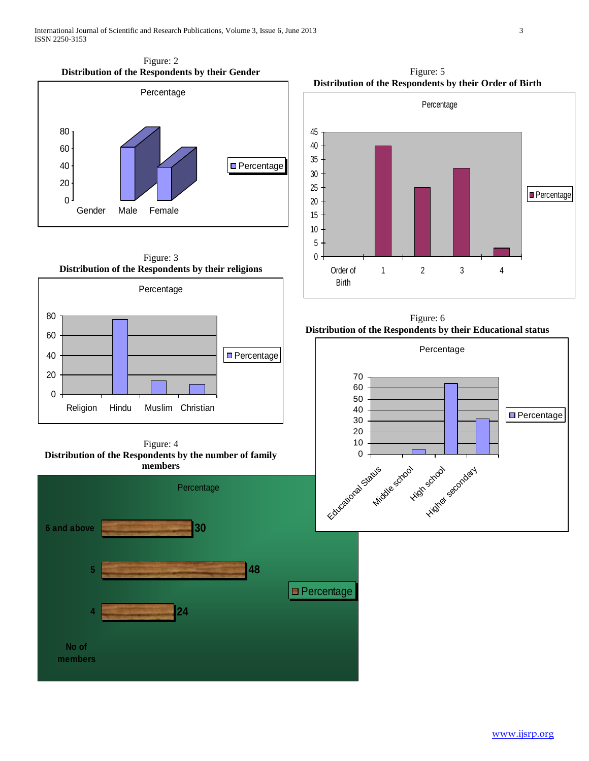International Journal of Scientific and Research Publications, Volume 3, Issue 6, June 2013 3 ISSN 2250-3153



Figure: 3 **Distribution of the Respondents by their religions**



Figure: 4 **Distribution of the Respondents by the number of family members**



Figure: 5 **Distribution of the Respondents by their Order of Birth**



Figure: 6 **Distribution of the Respondents by their Educational status**

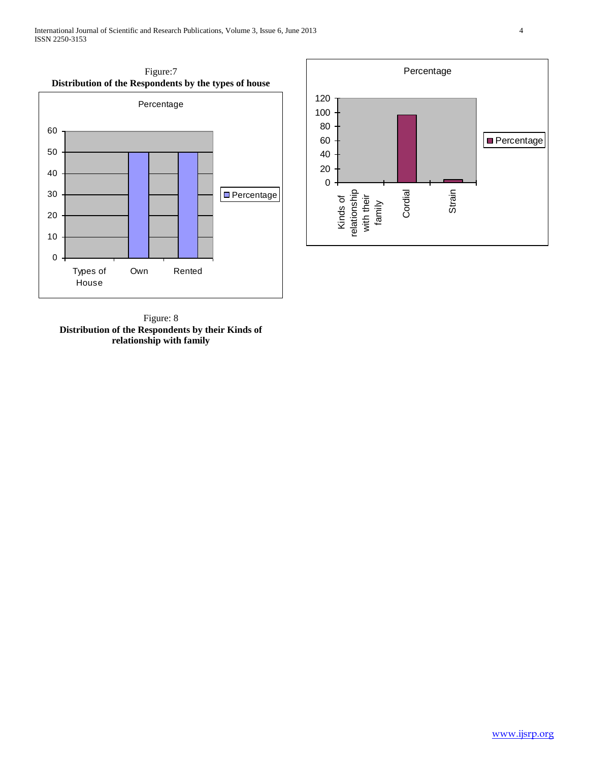International Journal of Scientific and Research Publications, Volume 3, Issue 6, June 2013 4 ISSN 2250-3153





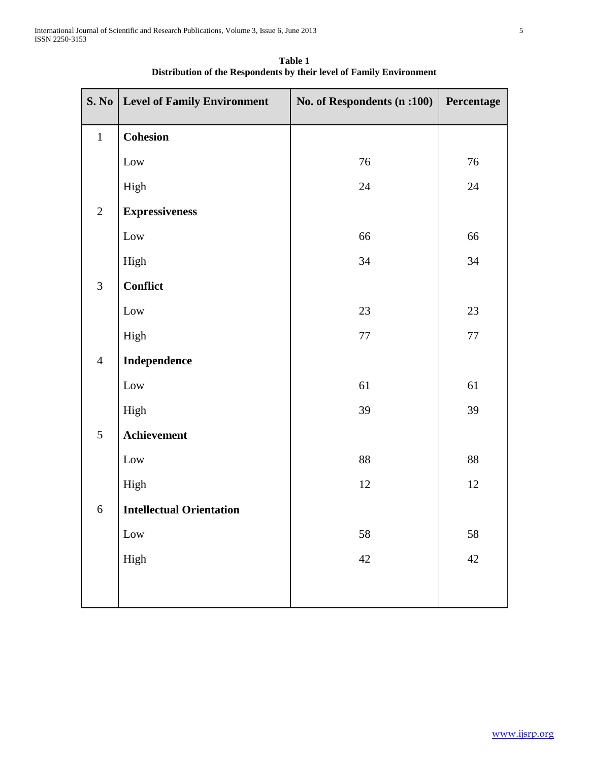| <b>S. No</b>   | <b>Level of Family Environment</b> | No. of Respondents (n:100) | Percentage |
|----------------|------------------------------------|----------------------------|------------|
| $\mathbf{1}$   | <b>Cohesion</b>                    |                            |            |
|                | Low                                | 76                         | 76         |
|                | High                               | 24                         | 24         |
| $\overline{2}$ | <b>Expressiveness</b>              |                            |            |
|                | Low                                | 66                         | 66         |
|                | High                               | 34                         | 34         |
| 3              | <b>Conflict</b>                    |                            |            |
|                | Low                                | 23                         | 23         |
|                | High                               | 77                         | $77\,$     |
| $\overline{4}$ | Independence                       |                            |            |
|                | Low                                | 61                         | 61         |
|                | High                               | 39                         | 39         |
| 5              | Achievement                        |                            |            |
|                | Low                                | 88                         | 88         |
|                | High                               | 12                         | 12         |
| $\sqrt{6}$     | <b>Intellectual Orientation</b>    |                            |            |
|                | $_{\text{Low}}$                    | 58                         | 58         |
|                | High                               | $42\,$                     | 42         |
|                |                                    |                            |            |

**Table 1 Distribution of the Respondents by their level of Family Environment**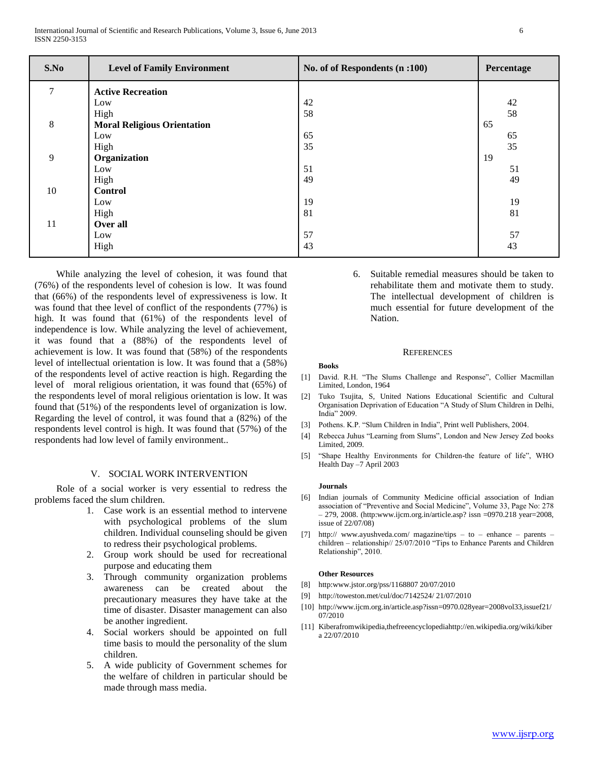While analyzing the level of cohesion, it was found that (76%) of the respondents level of cohesion is low. It was found that (66%) of the respondents level of expressiveness is low. It was found that thee level of conflict of the respondents (77%) is high. It was found that (61%) of the respondents level of independence is low. While analyzing the level of achievement, it was found that a (88%) of the respondents level of achievement is low. It was found that (58%) of the respondents level of intellectual orientation is low. It was found that a (58%) of the respondents level of active reaction is high. Regarding the level of moral religious orientation, it was found that (65%) of the respondents level of moral religious orientation is low. It was found that (51%) of the respondents level of organization is low. Regarding the level of control, it was found that a (82%) of the respondents level control is high. It was found that (57%) of the respondents had low level of family environment..

#### V. SOCIAL WORK INTERVENTION

 Role of a social worker is very essential to redress the problems faced the slum children.

- 1. Case work is an essential method to intervene with psychological problems of the slum children. Individual counseling should be given to redress their psychological problems.
- 2. Group work should be used for recreational purpose and educating them
- 3. Through community organization problems awareness can be created about the precautionary measures they have take at the time of disaster. Disaster management can also be another ingredient.
- 4. Social workers should be appointed on full time basis to mould the personality of the slum children.
- 5. A wide publicity of Government schemes for the welfare of children in particular should be made through mass media.

6. Suitable remedial measures should be taken to rehabilitate them and motivate them to study. The intellectual development of children is much essential for future development of the Nation.

## **REFERENCES**

#### **Books**

- [1] David. R.H. "The Slums Challenge and Response", Collier Macmillan Limited, London, 1964
- [2] Tuko Tsujita, S, United Nations Educational Scientific and Cultural Organisation Deprivation of Education "A Study of Slum Children in Delhi, India" 2009.
- [3] Pothens. K.P. "Slum Children in India", Print well Publishers, 2004.
- [4] Rebecca Juhus "Learning from Slums", London and New Jersey Zed books Limited, 2009.
- [5] "Shape Healthy Environments for Children-the feature of life", WHO Health Day –7 April 2003

#### **Journals**

- [6] Indian journals of Community Medicine official association of Indian association of "Preventive and Social Medicine", Volume 33, Page No: 278  $-$  279, 2008. (http:www.ijcm.org.in/article.asp? issn =0970.218 year=2008, issue of 22/07/08)
- [7] http:// www.ayushveda.com/ magazine/tips to enhance parents children – relationship// 25/07/2010 "Tips to Enhance Parents and Children Relationship", 2010.

#### **Other Resources**

- [8] http:www.jstor.org/pss/1168807 20/07/2010
- [9] http://toweston.met/cul/doc/7142524/ 21/07/2010
- [10] http://www.ijcm.org.in/article.asp?issn=0970.028year=2008vol33,issuef21/ 07/2010
- [11] Kiberafromwikipedia,thefreeencyclopediahttp://en.wikipedia.org/wiki/kiber a 22/07/2010

| International Journal of Scientific and Research Publications, Volume 3, Issue 6, June 2013 |  |
|---------------------------------------------------------------------------------------------|--|
| ISSN 2250-3153                                                                              |  |

| S.No             | <b>Level of Family Environment</b> | No. of of Respondents (n:100) | Percentage |
|------------------|------------------------------------|-------------------------------|------------|
| $\boldsymbol{7}$ | <b>Active Recreation</b>           |                               |            |
|                  | Low                                | 42                            | 42         |
|                  | High                               | 58                            | 58         |
| $\,8\,$          | <b>Moral Religious Orientation</b> |                               | 65         |
|                  | Low                                | 65                            | 65         |
|                  | High                               | 35                            | 35         |
| 9                | Organization                       |                               | 19         |
|                  | Low                                | 51                            | 51         |
|                  | High                               | 49                            | 49         |
| 10               | <b>Control</b>                     |                               |            |
|                  | Low                                | 19                            | 19         |
|                  | High                               | 81                            | 81         |
| 11               | Over all                           |                               |            |
|                  | Low                                | 57                            | 57         |
|                  | High                               | 43                            | 43         |